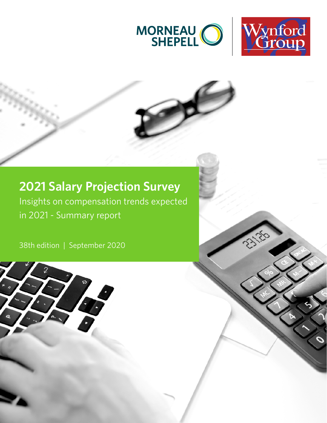



### **2021 Salary Projection Survey**

Insights on compensation trends expected in 2021 - Summary report

38th edition | September 2020

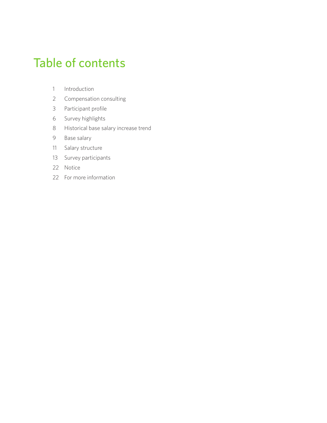## Table of contents

- [Introduction](#page-2-0)
- [Compensation consulting](#page-3-0)
- [Participant profile](#page-4-0)
- [Survey highlights](#page-7-0)
- [Historical base salary increase trend](#page-9-0)
- [Base salary](#page-10-0)
- [Salary structure](#page-12-0)
- [Survey participants](#page-14-0)
- [Notice](#page-23-0)
- [For more information](#page-23-0)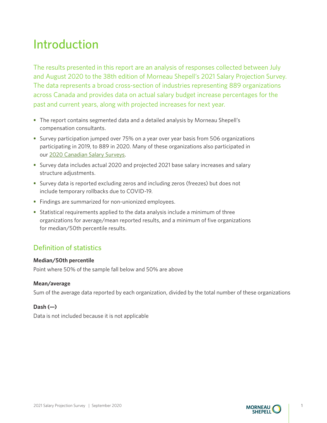## <span id="page-2-0"></span>Introduction

The results presented in this report are an analysis of responses collected between July and August 2020 to the 38th edition of Morneau Shepell's 2021 Salary Projection Survey. The data represents a broad cross-section of industries representing 889 organizations across Canada and provides data on actual salary budget increase percentages for the past and current years, along with projected increases for next year.

- **•** The report contains segmented data and a detailed analysis by Morneau Shepell's compensation consultants.
- **•** Survey participation jumped over 75% on a year over year basis from 506 organizations participating in 2019, to 889 in 2020. Many of these organizations also participated in our 2020 [Canadian Salary Surveys.](https://www.wynfordgroup.com/surveyFees.shtml)
- **•** Survey data includes actual 2020 and projected 2021 base salary increases and salary structure adjustments.
- **•** Survey data is reported excluding zeros and including zeros (freezes) but does not include temporary rollbacks due to COVID-19.
- **•** Findings are summarized for non-unionized employees.
- **•** Statistical requirements applied to the data analysis include a minimum of three organizations for average/mean reported results, and a minimum of five organizations for median/50th percentile results.

### Definition of statistics

#### **Median/50th percentile**

Point where 50% of the sample fall below and 50% are above

#### **Mean/average**

Sum of the average data reported by each organization, divided by the total number of these organizations

#### **Dash (—)**

Data is not included because it is not applicable

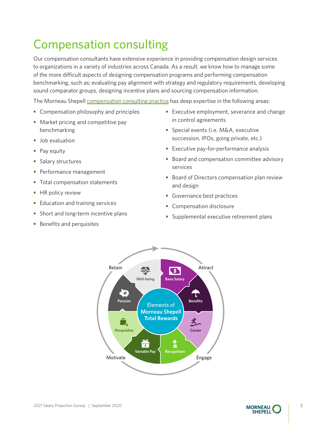# <span id="page-3-0"></span>Compensation consulting

Our compensation consultants have extensive experience in providing compensation design services to organizations in a variety of industries across Canada. As a result, we know how to manage some of the more difficult aspects of designing compensation programs and performing compensation benchmarking, such as; evaluating pay alignment with strategy and regulatory requirements, developing sound comparator groups, designing incentive plans and sourcing compensation information.

The Morneau Shepell [compensation consulting practice](https://www.morneaushepell.com/ca-en/compensation-consulting) has deep expertise in the following areas:

- **•** Compensation philosophy and principles
- Market pricing and competitive pay benchmarking
- **•** Job evaluation
- **•** Pay equity
- **•** Salary structures
- **•** Performance management
- **•** Total compensation statements
- **•** HR policy review
- **•** Education and training services
- **•** Short and long-term incentive plans
- **•** Benefits and perquisites
- **•** Executive employment, severance and change in control agreements
- **•** Special events (i.e. M&A, executive succession, IPOs, going private, etc.)
- **•** Executive pay-for-performance analysis
- **•** Board and compensation committee advisory services
- **•** Board of Directors compensation plan review and design
- **•** Governance best practices
- **•** Compensation disclosure
- **•** Supplemental executive retirement plans



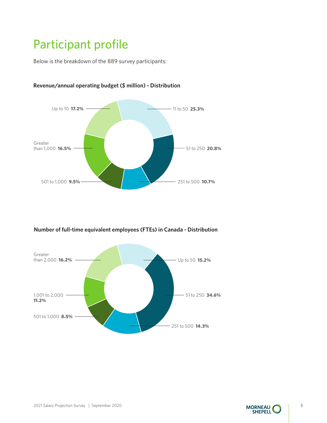# <span id="page-4-0"></span>Participant profile

Below is the breakdown of the 889 survey participants:



#### **Revenue/annual operating budget (\$ million) - Distribution**

**Number of full-time equivalent employees (FTEs) in Canada - Distribution**



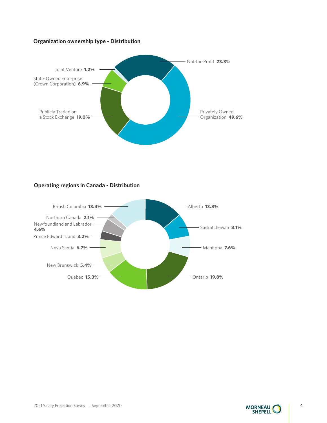#### **Organization ownership type - Distribution**



#### **Operating regions in Canada - Distribution**



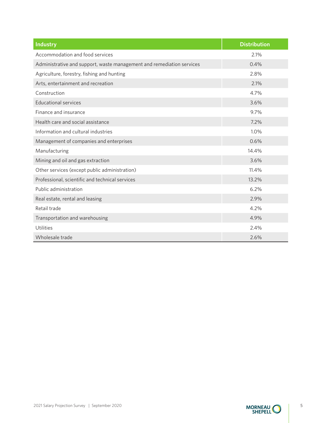| <b>Industry</b>                                                       | <b>Distribution</b> |
|-----------------------------------------------------------------------|---------------------|
| Accommodation and food services                                       | 2.1%                |
| Administrative and support, waste management and remediation services | 0.4%                |
| Agriculture, forestry, fishing and hunting                            | 2.8%                |
| Arts, entertainment and recreation                                    | 2.1%                |
| Construction                                                          | 4.7%                |
| <b>Educational services</b>                                           | 3.6%                |
| Finance and insurance                                                 | 9.7%                |
| Health care and social assistance                                     | 7.2%                |
| Information and cultural industries                                   | 1.0%                |
| Management of companies and enterprises                               | 0.6%                |
| Manufacturing                                                         | 14.4%               |
| Mining and oil and gas extraction                                     | 3.6%                |
| Other services (except public administration)                         | 11.4%               |
| Professional, scientific and technical services                       | 13.2%               |
| Public administration                                                 | 6.2%                |
| Real estate, rental and leasing                                       | 2.9%                |
| Retail trade                                                          | 4.2%                |
| Transportation and warehousing                                        | 4.9%                |
| Utilities                                                             | 2.4%                |
| Wholesale trade                                                       | 2.6%                |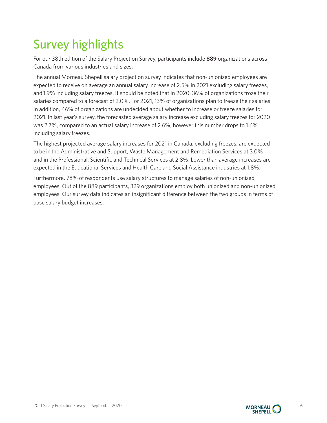# <span id="page-7-0"></span>Survey highlights

For our 38th edition of the Salary Projection Survey, participants include **889** organizations across Canada from various industries and sizes.

The annual Morneau Shepell salary projection survey indicates that non-unionized employees are expected to receive on average an annual salary increase of 2.5% in 2021 excluding salary freezes, and 1.9% including salary freezes. It should be noted that in 2020, 36% of organizations froze their salaries compared to a forecast of 2.0%. For 2021, 13% of organizations plan to freeze their salaries. In addition, 46% of organizations are undecided about whether to increase or freeze salaries for 2021. In last year's survey, the forecasted average salary increase excluding salary freezes for 2020 was 2.7%, compared to an actual salary increase of 2.6%, however this number drops to 1.6% including salary freezes.

The highest projected average salary increases for 2021 in Canada, excluding freezes, are expected to be in the Administrative and Support, Waste Management and Remediation Services at 3.0% and in the Professional, Scientific and Technical Services at 2.8%. Lower than average increases are expected in the Educational Services and Health Care and Social Assistance industries at 1.8%.

Furthermore, 78% of respondents use salary structures to manage salaries of non-unionized employees. Out of the 889 participants, 329 organizations employ both unionized and non-unionized employees. Our survey data indicates an insignificant difference between the two groups in terms of base salary budget increases.



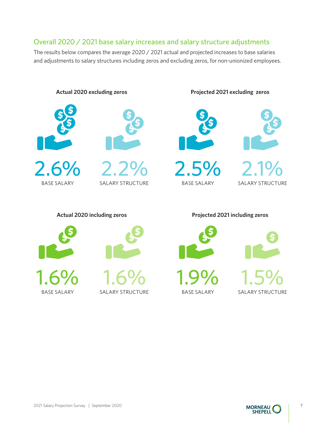### Overall 2020 / 2021 base salary increases and salary structure adjustments

The results below compares the average 2020 / 2021 actual and projected increases to base salaries and adjustments to salary structures including zeros and excluding zeros, for non-unionized employees.



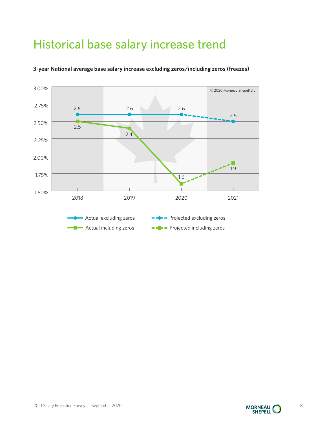# <span id="page-9-0"></span>Historical base salary increase trend



#### **3-year National average base salary increase excluding zeros/including zeros (freezes)**



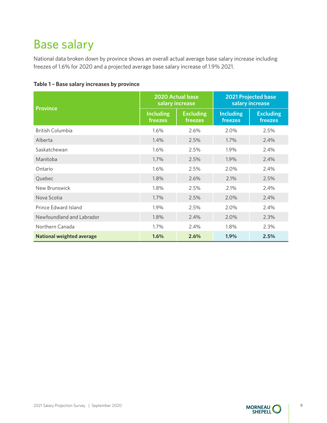## <span id="page-10-0"></span>Base salary

National data broken down by province shows an overall actual average base salary increase including freezes of 1.6% for 2020 and a projected average base salary increase of 1.9% 2021.

| <b>Province</b>                  | 2020 Actual base<br>salary increase |                             | <b>2021 Projected base</b><br>salary increase |                             |
|----------------------------------|-------------------------------------|-----------------------------|-----------------------------------------------|-----------------------------|
|                                  | <b>Including</b><br>freezes         | <b>Excluding</b><br>freezes | <b>Including</b><br>freezes                   | <b>Excluding</b><br>freezes |
| <b>British Columbia</b>          | 1.6%                                | 2.6%                        | 2.0%                                          | 2.5%                        |
| Alberta                          | 1.4%                                | 2.5%                        | 1.7%                                          | 2.4%                        |
| Saskatchewan                     | 1.6%                                | 2.5%                        | 1.9%                                          | 2.4%                        |
| Manitoba                         | 1.7%                                | 2.5%                        | 1.9%                                          | 2.4%                        |
| Ontario                          | 1.6%                                | 2.5%                        | 2.0%                                          | 2.4%                        |
| Quebec                           | 1.8%                                | 2.6%                        | 2.1%                                          | 2.5%                        |
| New Brunswick                    | 1.8%                                | 2.5%                        | 2.1%                                          | 2.4%                        |
| Nova Scotia                      | 1.7%                                | 2.5%                        | 2.0%                                          | 2.4%                        |
| Prince Edward Island             | 1.9%                                | 2.5%                        | 2.0%                                          | 2.4%                        |
| Newfoundland and Labrador        | 1.8%                                | 2.4%                        | 2.0%                                          | 2.3%                        |
| Northern Canada                  | 1.7%                                | 2.4%                        | 1.8%                                          | 2.3%                        |
| <b>National weighted average</b> | 1.6%                                | 2.6%                        | 1.9%                                          | 2.5%                        |

#### **Table 1 – Base salary increases by province**

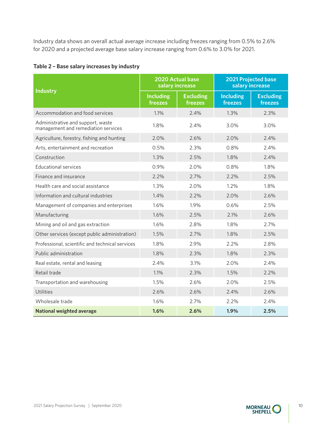Industry data shows an overall actual average increase including freezes ranging from 0.5% to 2.6% for 2020 and a projected average base salary increase ranging from 0.6% to 3.0% for 2021.

| Table 2 - Base salary increases by industry |  |
|---------------------------------------------|--|
|---------------------------------------------|--|

|                                                                          | 2020 Actual base<br>salary increase |                             | <b>2021 Projected base</b><br>salary increase |                             |
|--------------------------------------------------------------------------|-------------------------------------|-----------------------------|-----------------------------------------------|-----------------------------|
| <b>Industry</b>                                                          | <b>Including</b><br>freezes         | <b>Excluding</b><br>freezes | <b>Including</b><br>freezes                   | <b>Excluding</b><br>freezes |
| Accommodation and food services                                          | 1.1%                                | 2.4%                        | 1.3%                                          | 2.3%                        |
| Administrative and support, waste<br>management and remediation services | 1.8%                                | 2.4%                        | 3.0%                                          | 3.0%                        |
| Agriculture, forestry, fishing and hunting                               | 2.0%                                | 2.6%                        | 2.0%                                          | 2.4%                        |
| Arts, entertainment and recreation                                       | 0.5%                                | 2.3%                        | 0.8%                                          | 2.4%                        |
| Construction                                                             | 1.3%                                | 2.5%                        | 1.8%                                          | 2.4%                        |
| <b>Educational services</b>                                              | 0.9%                                | 2.0%                        | 0.8%                                          | 1.8%                        |
| Finance and insurance                                                    | 2.2%                                | 2.7%                        | 2.2%                                          | 2.5%                        |
| Health care and social assistance                                        | 1.3%                                | 2.0%                        | 1.2%                                          | 1.8%                        |
| Information and cultural industries                                      | 1.4%                                | 2.2%                        | 2.0%                                          | 2.6%                        |
| Management of companies and enterprises                                  | 1.6%                                | 1.9%                        | 0.6%                                          | 2.5%                        |
| Manufacturing                                                            | 1.6%                                | 2.5%                        | 2.1%                                          | 2.6%                        |
| Mining and oil and gas extraction                                        | 1.6%                                | 2.8%                        | 1.8%                                          | 2.7%                        |
| Other services (except public administration)                            | 1.5%                                | 2.7%                        | 1.8%                                          | 2.5%                        |
| Professional, scientific and technical services                          | 1.8%                                | 2.9%                        | 2.2%                                          | 2.8%                        |
| Public administration                                                    | 1.8%                                | 2.3%                        | 1.8%                                          | 2.3%                        |
| Real estate, rental and leasing                                          | 2.4%                                | 3.1%                        | 2.0%                                          | 2.4%                        |
| Retail trade                                                             | 1.1%                                | 2.3%                        | 1.5%                                          | 2.2%                        |
| Transportation and warehousing                                           | 1.5%                                | 2.6%                        | 2.0%                                          | 2.5%                        |
| <b>Utilities</b>                                                         | 2.6%                                | 2.6%                        | 2.4%                                          | 2.6%                        |
| Wholesale trade                                                          | 1.6%                                | 2.7%                        | 2.2%                                          | 2.4%                        |
| <b>National weighted average</b>                                         | 1.6%                                | 2.6%                        | 1.9%                                          | 2.5%                        |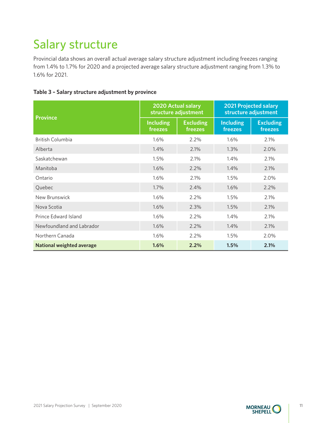# <span id="page-12-0"></span>Salary structure

Provincial data shows an overall actual average salary structure adjustment including freezes ranging from 1.4% to 1.7% for 2020 and a projected average salary structure adjustment ranging from 1.3% to 1.6% for 2021.

| Table 3 - Salary structure adjustment by province |  |  |  |
|---------------------------------------------------|--|--|--|
|---------------------------------------------------|--|--|--|

| <b>Province</b>           | 2020 Actual salary<br>structure adjustment |                             | <b>2021 Projected salary</b><br>structure adjustment |                             |
|---------------------------|--------------------------------------------|-----------------------------|------------------------------------------------------|-----------------------------|
|                           | <b>Including</b><br>freezes                | <b>Excluding</b><br>freezes | <b>Including</b><br>freezes                          | <b>Excluding</b><br>freezes |
| <b>British Columbia</b>   | 1.6%                                       | 2.2%                        | 1.6%                                                 | 2.1%                        |
| Alberta                   | 1.4%                                       | 2.1%                        | 1.3%                                                 | 2.0%                        |
| Saskatchewan              | 1.5%                                       | 2.1%                        | 1.4%                                                 | 2.1%                        |
| Manitoba                  | 1.6%                                       | $2.2\%$                     | 1.4%                                                 | 2.1%                        |
| Ontario                   | 1.6%                                       | 2.1%                        | 1.5%                                                 | 2.0%                        |
| Quebec                    | $1.7\%$                                    | 2.4%                        | 1.6%                                                 | 2.2%                        |
| New Brunswick             | 1.6%                                       | 2.2%                        | 1.5%                                                 | 2.1%                        |
| Nova Scotia               | 1.6%                                       | 2.3%                        | 1.5%                                                 | 2.1%                        |
| Prince Edward Island      | 1.6%                                       | 2.2%                        | 1.4%                                                 | 2.1%                        |
| Newfoundland and Labrador | 1.6%                                       | 2.2%                        | 1.4%                                                 | 2.1%                        |
| Northern Canada           | 1.6%                                       | 2.2%                        | 1.5%                                                 | 2.0%                        |
| National weighted average | 1.6%                                       | 2.2%                        | 1.5%                                                 | 2.1%                        |

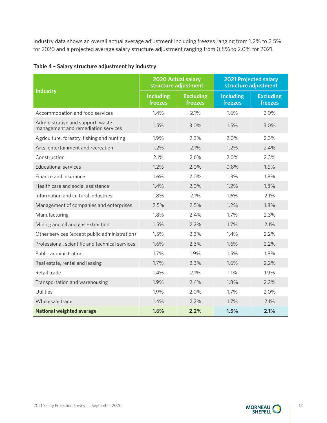Industry data shows an overall actual average adjustment including freezes ranging from 1.2% to 2.5% for 2020 and a projected average salary structure adjustment ranging from 0.8% to 2.0% for 2021.

|                                                                          | 2020 Actual salary<br>structure adjustment |                             | <b>2021 Projected salary</b><br>structure adjustment |                             |
|--------------------------------------------------------------------------|--------------------------------------------|-----------------------------|------------------------------------------------------|-----------------------------|
| <b>Industry</b>                                                          | <b>Including</b><br>freezes                | <b>Excluding</b><br>freezes | <b>Including</b><br>freezes                          | <b>Excluding</b><br>freezes |
| Accommodation and food services                                          | 1.4%                                       | 2.1%                        | 1.6%                                                 | 2.0%                        |
| Administrative and support, waste<br>management and remediation services | 1.5%                                       | 3.0%                        | 1.5%                                                 | 3.0%                        |
| Agriculture, forestry, fishing and hunting                               | 1.9%                                       | 2.3%                        | 2.0%                                                 | 2.3%                        |
| Arts, entertainment and recreation                                       | 1.2%                                       | 2.1%                        | 1.2%                                                 | 2.4%                        |
| Construction                                                             | 2.1%                                       | 2.6%                        | 2.0%                                                 | 2.3%                        |
| <b>Educational services</b>                                              | 1.2%                                       | 2.0%                        | 0.8%                                                 | 1.6%                        |
| Finance and insurance                                                    | 1.6%                                       | 2.0%                        | 1.3%                                                 | 1.8%                        |
| Health care and social assistance                                        | 1.4%                                       | 2.0%                        | 1.2%                                                 | 1.8%                        |
| Information and cultural industries                                      | 1.8%                                       | 2.1%                        | 1.6%                                                 | 2.1%                        |
| Management of companies and enterprises                                  | 2.5%                                       | 2.5%                        | 1.2%                                                 | 1.8%                        |
| Manufacturing                                                            | 1.8%                                       | 2.4%                        | 1.7%                                                 | 2.3%                        |
| Mining and oil and gas extraction                                        | 1.5%                                       | 2.2%                        | 1.7%                                                 | 2.1%                        |
| Other services (except public administration)                            | 1.5%                                       | 2.3%                        | 1.4%                                                 | 2.2%                        |
| Professional, scientific and technical services                          | 1.6%                                       | 2.3%                        | 1.6%                                                 | 2.2%                        |
| Public administration                                                    | 1.7%                                       | 1.9%                        | 1.5%                                                 | 1.8%                        |
| Real estate, rental and leasing                                          | 1.7%                                       | 2.3%                        | 1.6%                                                 | 2.2%                        |
| Retail trade                                                             | 1.4%                                       | 2.1%                        | 1.1%                                                 | 1.9%                        |
| Transportation and warehousing                                           | 1.9%                                       | 2.4%                        | 1.8%                                                 | 2.2%                        |
| <b>Utilities</b>                                                         | 1.9%                                       | 2.0%                        | 1.7%                                                 | 2.0%                        |
| Wholesale trade                                                          | 1.4%                                       | 2.2%                        | 1.7%                                                 | 2.1%                        |
| <b>National weighted average</b>                                         | 1.6%                                       | 2.2%                        | 1.5%                                                 | 2.1%                        |

### **Table 4 – Salary structure adjustment by industry**



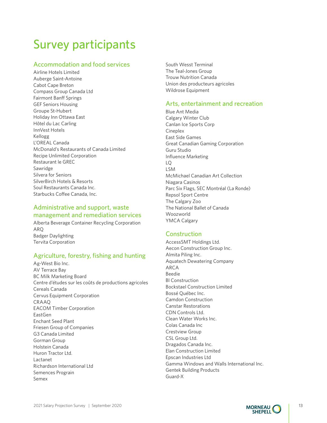# <span id="page-14-0"></span>Survey participants

#### Accommodation and food services

Airline Hotels Limited Auberge Saint-Antoine Cabot Cape Breton Compass Group Canada Ltd Fairmont Banff Springs GEF Seniors Housing Groupe St-Hubert Holiday Inn Ottawa East Hôtel du Lac Carling InnVest Hotels Kellogg L'OREAL Canada McDonald's Restaurants of Canada Limited Recipe Unlimited Corporation Restaurant le GREC Sawridge Silvera for Seniors SilverBirch Hotels & Resorts Soul Restaurants Canada Inc. Starbucks Coffee Canada, Inc.

#### Administrative and support, waste management and remediation services

Alberta Beverage Container Recycling Corporation ARQ Badger Daylighting Tervita Corporation

### Agriculture, forestry, fishing and hunting

Ag-West Bio Inc. AV Terrace Bay BC Milk Marketing Board Centre d'études sur les coûts de productions agricoles Cereals Canada Cervus Equipment Corporation CRAAQ EACOM Timber Corporation EastGen Enchant Seed Plant Friesen Group of Companies G3 Canada Limited Gorman Group Holstein Canada Huron Tractor Ltd. Lactanet Richardson International Ltd Semences Prograin Semex

South Wesst Terminal The Teal-Jones Group Trouw Nutrition Canada Union des producteurs agricoles Wildrose Equipment

#### Arts, entertainment and recreation

Blue Ant Media Calgary Winter Club Canlan Ice Sports Corp **Cineplex** East Side Games Great Canadian Gaming Corporation Guru Studio Influence Marketing LQ LSM McMichael Canadian Art Collection Niagara Casinos Parc Six Flags, SEC Montréal (La Ronde) Repsol Sport Centre The Calgary Zoo The National Ballet of Canada Woozworld YMCA Calgary

#### Construction

AccessSMT Holdings Ltd. Aecon Construction Group Inc. Almita Piling Inc. Aquatech Dewatering Company ARCA Beedie Bl Construction Bockstael Construction Limited Bossé Québec Inc. Camdon Construction Canstar Restorations CDN Controls Ltd. Clean Water Works Inc. Colas Canada Inc Crestview Group CSL Group Ltd. Dragados Canada Inc. Elan Construction Limited Epscan Industries Ltd Gamma Windows and Walls International Inc. Gentek Building Products Guard-X

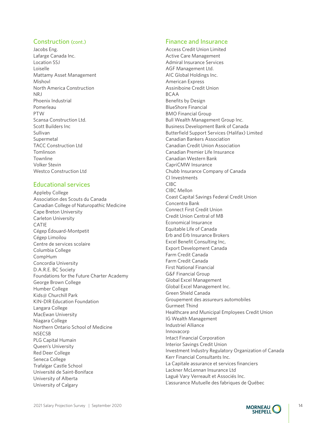#### Construction (cont.)

Jacobs Eng. Lafarge Canada Inc. Location SSJ Loiselle Mattamy Asset Management Mishovl North America Construction NRJ Phoenix Industrial Pomerleau PTW Scansa Construction Ltd. Scott Builders Inc Sullivan Supermetal TACC Construction Ltd Tomlinson Townline Volker Stevin Westco Construction Ltd

#### Educational services

Appleby College Association des Scouts du Canada Canadian College of Naturopathic Medicine Cape Breton University Carleton University CATIE Cégep Édouard-Montpetit Cégep Limoilou Centre de services scolaire Columbia College CompHum Concordia University D.A.R.E. BC Society Foundations for the Future Charter Academy George Brown College Humber College Kids@ Churchill Park KIN-DIR Education Foundation Langara College MacEwan University Niagara College Northern Ontario School of Medicine **NSECSB** PLG Capital Humain Queen's University Red Deer College Seneca College Trafalgar Castle School Université de Saint-Boniface University of Alberta University of Calgary

#### Finance and Insurance

Access Credit Union Limited Active Care Management Admiral Insurance Services AGF Management Ltd. AIC Global Holdings Inc. American Express Assiniboine Credit Union BCAA Benefits by Design BlueShore Financial BMO Financial Group Bull Wealth Management Group Inc. Business Development Bank of Canada Butterfield Support Services (Halifax) Limited Canadian Bankers Association Canadian Credit Union Association Canadian Premier Life Insurance Canadian Western Bank CapriCMW Insurance Chubb Insurance Company of Canada CI Investments CIBC CIBC Mellon Coast Capital Savings Federal Credit Union Concentra Bank Connect First Credit Union Credit Union Central of MB Economical Insurance Equitable Life of Canada Erb and Erb Insurance Brokers Excel Benefit Consulting Inc, Export Development Canada Farm Credit Canada Farm Credit Canada First National Financial G&F Financial Group Global Excel Management Global Excel Management Inc. Green Shield Canada Groupement des assureurs automobiles Gurmeet Thind Healthcare and Municipal Employees Credit Union IG Wealth Management Industriel Alliance Innovacorp Intact Financial Corporation Interior Savings Credit Union Investment Industry Regulatory Organization of Canada Kerr Financial Consultants Inc. La Capitale assurance et services financiers Lackner McLennan Insurance Ltd Laguë Vary Verreault et Associés Inc. L'assurance Mutuelle des fabriques de Québec

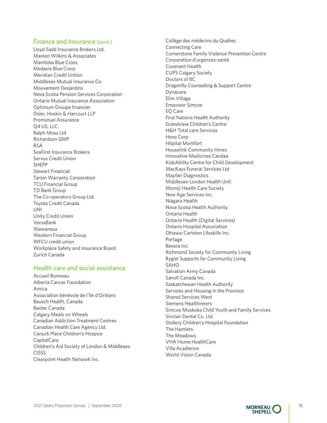#### Finance and Insurance (cont.)

Lloyd Sadd Insurance Brokers Ltd. Manion Wilkins & Associates Manitoba Blue Cross Medavie Blue Cross Meridian Credit Untion Middlesex Mutual Insurance Co. Mouvement Desjardins Nova Scotia Pension Services Corporation Ontario Mutual Insurance Association Optimum Groupe financier Osler, Hoskin & Harcourt LLP Promutuel Assurance Q4 US, LLC. Ralph Moss Ltd Richardson GMP RSA SeaFirst Insurance Brokers Servus Credit Union SHEPP Stewart Financial Tarion Warranty Corporation TCU Financial Group TD Bank Group The Co-operators Group Ltd. Toyota Credit Canada UNI Unity Credit Union VersaBank Wawanesa Western Financial Group WFCU credit union Workplace Safety and Insurance Board Zurich Canada

#### Health care and social assistance

Accueil Bonneau Alberta Cancer Foundation Amica Association bénévole de l'île d'Orléans Bausch Health, Canada Baxter Canada Calgary Meals on Wheels Canadian Addiction Treatment Centres Canadian Health Care Agency Ltd. Canuck Place Children's Hospice CapitalCare Children's Aid Society of London & Middlesex CISSS Clearpoint Health Network Inc.

Collège des médecins du Québec Connecting Care Cornerstone Family Violence Prevention Centre Corporation d'urgences-santé Covenant Health CUPS Calgary Society Doctors of BC Dragonfly Counselling & Support Centre Dynacare Elim VIllage Empower Simcoe EQ Care First Nations Health Authority Grandview Children's Centre H&H Total care Services Hexo Corp Hôpital Montfort Houselink Community Hmes Innovative Medicines Candaa KidsAbility Centre for Child Development MacKays Funeral Services Ltd Mayfair Diagnostics Middlesex-London Health Unit Momiji Health Care Society New Age Services Inc. Niagara Health Nova Scotia Health Authority Ontario Health Ontario Health (Digital Services) Ontario Hospital Association Ottawa-Carleton Lifeskills Inc. Portage Revera Inc. Richmond Society for Community Living Rygiel Supports for Community Living SAHO Salvation Army Canada Sanofi Canada Inc. Saskatchewan Health Authority Services and Housing In the Province Shared Services West Siemens Healthineers Simcoe Muskoka Child Youth and Family Services Sinclair Dental Co. Ltd. Stollery Children's Hospital Foundation The Hamlets The Meadows VHA Home HealthCare Villa Acadienne World Vision Canada

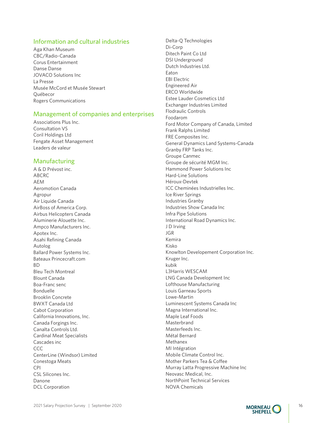#### Information and cultural industries

Aga Khan Museum CBC/Radio-Canada Corus Entertainment Danse Danse JOVACO Solutions Inc La Presse Musée McCord et Musée Stewart Québecor Rogers Communications

#### Management of companies and enterprises

Associations Plus Inc. Consultation VS Coril Holdings Ltd Fengate Asset Management Leaders de valeur

#### Manufacturing

A & D Prévost inc. ABCRC AEM Aeromotion Canada Agropur Air Liquide Canada AirBoss of America Corp. Airbus Helicopters Canada Aluminerie Alouette Inc. Ampco Manufacturers Inc. Apotex Inc. Asahi Refining Canada Autolog Ballard Power Systems Inc. Bateaux Princecraft.com BD Bleu Tech Montreal Blount Canada Boa-Franc senc Bonduelle Brooklin Concrete BWXT Canada Ltd Cabot Corporation California Innovations, Inc. Canada Forgings Inc. Canalta Controls Ltd. Cardinal Meat Specialists Cascades inc CCC CenterLine (Windsor) Limited Conestoga Meats CPI CSL Silicones Inc. Danone DCL Corporation

Delta-Q Technologies Di-Corp Ditech Paint Co Ltd DSI Underground Dutch Industries Ltd. Eaton EBI Electric Engineered Air ERCO Worldwide Estee Lauder Cosmetics Ltd Exchanger Industries Limited Flodraulic Controls Foodarom Ford Motor Company of Canada, Limited Frank Ralphs Limited FRE Composites Inc. General Dynamics Land Systems-Canada Granby FRP Tanks Inc. Groupe Canmec Groupe de sécurité MGM Inc. Hammond Power Solutions Inc Hard-Line Solutions Héroux-Devtek ICC Cheminées Industrielles Inc. Ice River Springs Industries Granby Industries Show Canada Inc Infra Pipe Solutions International Road Dynamics Inc. J D Irving JGR Kemira Kisko Knowlton Developement Corporation Inc. Kruger Inc. kubik L3Harris WESCAM LNG Canada Development Inc Lofthouse Manufacturing Louis Garneau Sports Lowe-Martin Luminescent Systems Canada Inc Magna International Inc. Maple Leaf Foods Masterbrand Masterfeeds Inc. Métal Bernard Methanex MI Intégration Mobile Climate Control Inc. Mother Parkers Tea & Coffee Murray Latta Progressive Machine Inc Neovasc Medical, Inc. NorthPoint Technical Services NOVA Chemicals

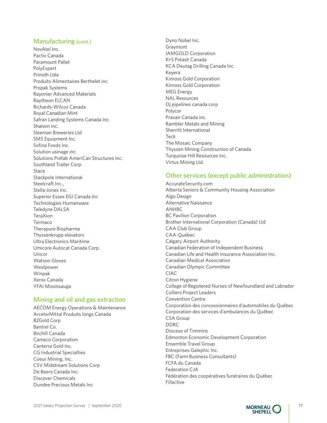#### Manufacturing (cont.)

NovAtel Inc. Pactiv Canada Paramount Pallet PolyExpert Prinoth Ltée Produits Alimentaires Berthelet inc Propak Systems Rayonier Advanced Materials Raytheon ELCAN Richards-Wilcox Canada Royal Canadian Mint Safran Landing Systems Canada Inc. Shalwin inc. Sleeman Breweries Ltd SMS Equipment Inc. Sofina Foods Inc. Solution usinage inc. Solutions Préfab AmeriCan Structures Inc. Southland Trailer Corp. Stace Stackpole International Steelcraft Inc., Stella-Jones Inc. Superior Essex EGI Canada Inc Technologies Humanware Teledyne DALSA TeraXion Termaco Therapure Biopharma Thyssenkrupp elevators Ultra Electronics Maritime Umicore Autocat Canada Corp. Unicor Watson Gloves Westpower Winpak Xerox Canada YFAI Mississauga

#### Mining and oil and gas extraction

AECOM Energy Operations & Maintenance ArcelorMittal Produits longs Canada B2Gold Corp Bantrel Co. Birchill Canada Cameco Corporation Centerra Gold Inc. CG Industrial Specialties Coeur Mining, Inc. CSV Midstream Solutions Corp De Beers Canada Inc. Discover Chemicals Dundee Precious Metals Inc

Dyno Nobel Inc. Graymont IAMGOLD Corporation K+S Potash Canada KCA Deutag Drilling Canada Inc Keyera Kinross Gold Corporation Kinross Gold Corporation MEG Energy NAL Resources Oj pipelines canada corp Polycor Praxair Canada inc. Rambler Metals and Mining Sherritt International Teck The Mosaic Company Thyssen Mining Construction of Canada Turquoise Hill Resources Inc. Virtus Mining Ltd.

#### Other services (except public administration)

AccurateSecurity.com Alberta Seniors & Community Housing Association Algo Design Alternative Naissance ANHBC BC Pavilion Corporation Brother International Corporation (Canada) Ltd CAA Club Group CAA-Québec Calgary Airport Authority Canadian Federation of Independent Business Canadian Life and Health Insurance Association Inc. Canadian Medical Association Canadian Olympic Committee CIAC Citron Hygiene College of Registered Nurses of Newfoundland and Labrador Colliers Project Leaders Convention Centre Corporation des concessionnaires d'automobiles du Québec Corporation des services d'ambulances du Québec CSA Group DDRC Diocese of Timmins Edmonton Economic Development Corporation Ensemble Travel Group Entreprises Galephic Inc. FBC (Farm Business Consultants) FCFA du Canada Federation CJA Fédération des coopératives funéraires du Québec Fillactive

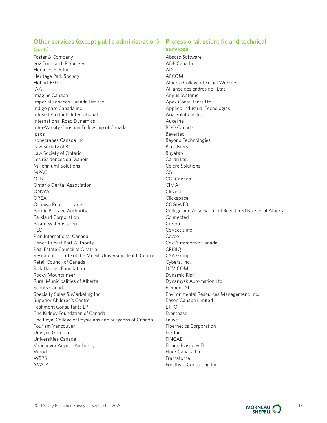#### Other services (except public administration) Professional, scientific and technical

#### (cont.)

Foster & Company go2 Tourism HR Society Hercules SLR Inc Heritage Park Society Hobart FEG IAA Imagine Canada Imperial Tobacco Canada Limited Indigo parc Canada inc Infused Products International International Road Dynamics Inter-Varsity Christian Fellowship of Canada Ipsos Konecranes Canada Inc Law Society of BC Law Society of Ontario Les résidences du Manoir Millennium1 Solutions MPAC OEB Ontario Dental Association ONWA OREA Oshawa Public Libraries Pacific Pilotage Authority Parkland Corporation Pason Systems Corp. PEO Plan International Canada Prince Rupert Port Authority Real Estate Council of Onatrio Research Institute of the McGill University Health Centre Retail Council of Canada Rick Hansen Foundation Rocky Mountaineer Rural Municipalities of Alberta Scouts Canada Specialty Sales & Marketing Inc. Superior Children's Centre Teshmont Consultants LP The Kidney Foundation of Canada The Royal College of Physicians and Surgeons of Canada Tourism Vancouver Unisync Group Inc. Universities Canada Vancouver Airport Authority Wood WSPS YWCA

### services

Absorb Software ADP Canada ADT AECOM Alberta College of Social Workers Alliance des cadres de l'État Angus Systems Apex Consultants Ltd Applied Industrial Tecnologies Aria Solutions Inc Aucerna BDO Canada Bevertec Beyond Technologies **BlackBerry** Buyatab Calian Ltd. Celero Solutions CGI CGI Canada CIMA+ Clevest **Clickspace** COGIWEB College and Association of Registered Nurses of Alberta Connected Corem CoVectis inc Coveo Cox Automotive Canada CRIBIQ CSA Group Cybera, Inc. DEVICOM Dynamic Risk Dynamysk Automation Ltd. Element AI Environmental Resources Management, Inc. Epson Canada Limited ETFO Eventbase Fauve Fibernetics Corporation Fiix Inc FINCAD FL and Pvisio by FL Fluor Canada Ltd Framatome Frostbyte Consulting Inc.

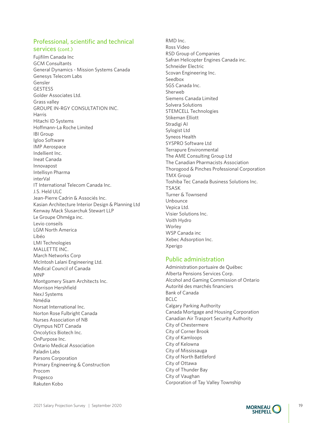#### Professional, scientific and technical services (cont.)

Fujifilm Canada Inc GCM Consultants General Dynamics - Mission Systems Canada Genesys Telecom Labs Gensler GESTESS Golder Associates Ltd. Grass valley GROUPE IN-RGY CONSULTATION INC. Harris Hitachi ID Systems Hoffmann-La Roche Limited IBI Group Igloo Software IMP Aerospace Indellient Inc. Ineat Canada Innovapost Intellisyn Pharma interVal IT International Telecom Canada Inc. J.S. Held ULC Jean-Pierre Cadrin & Associés Inc. Kasian Architecture Interior Design & Planning Ltd Kenway Mack Slusarchuk Stewart LLP Le Groupe Ohméga inc. Levio conseils LGM North America Libéo LMI Technologies MALLETTE INC. March Networks Corp McIntosh Lalani Engineering Ltd. Medical Council of Canada MNP Montgomery Sisam Architects Inc. Morrison Hershfield NexJ Systems Nmédia Norsat International Inc. Norton Rose Fulbright Canada Nurses Association of NB Olympus NDT Canada Oncolytics Biotech Inc. OnPurpose Inc. Ontario Medical Association Paladin Labs Parsons Corporation Primary Engineering & Construction Procom Progesco Rakuten Kobo

RMD Inc. Ross Video RSD Group of Companies Safran Helicopter Engines Canada inc. Schneider Electric Scovan Engineering Inc. Seedbox SGS Canada Inc. Sherweb Siemens Canada Limited Solvera Solutions STEMCELL Technologies Stikeman Elliott Stradigi AI Sylogist Ltd Syneos Health SYSPRO Software Ltd Terrapure Environmental The AME Consulting Group Ltd The Canadian Pharmacists Association Thorogood & Pinches Professional Corporation TMX Group Toshiba Tec Canada Business Solutions Inc. TSASK Turner & Townsend Unbounce Vepica Ltd. Visier Solutions Inc. Voith Hydro Worley WSP Canada inc Xebec Adsorption Inc. Xperigo

#### Public administration

Administration portuaire de Québec Alberta Pensions Services Corp. Alcohol and Gaming Commission of Ontario Autorité des marchés financiers Bank of Canada BCLC Calgary Parking Authority Canada Mortgage and Housing Corporation Canadian Air Trasport Security Authority City of Chestermere City of Corner Brook City of Kamloops City of Kelowna City of Mississauga City of North Battleford City of Ottawa City of Thunder Bay City of Vaughan Corporation of Tay Valley Township

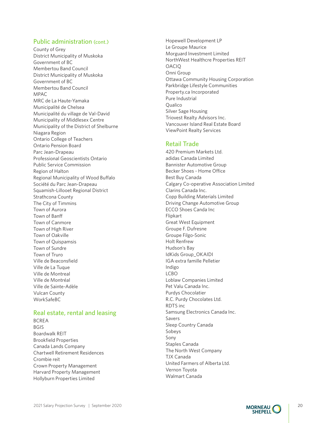#### Public administration (cont.)

County of Grey District Municipality of Muskoka Government of BC Membertou Band Council District Municipality of Muskoka Government of BC Membertou Band Council MPAC MRC de La Haute-Yamaka Municipalité de Chelsea Municipalité du village de Val-David Municipality of Middlesex Centre Municipality of the District of Shelburne Niagara Region Ontario College of Teachers Ontario Pension Board Parc Jean-Drapeau Professional Geoscientists Ontario Public Service Commission Region of Halton Regional Municipality of Wood Buffalo Société du Parc Jean-Drapeau Squamish-Lillooet Regional District Strathcona County The City of Timmins Town of Aurora Town of Banff Town of Canmore Town of High River Town of Oakville Town of Quispamsis Town of Sundre Town of Truro Ville de Beaconsfield Ville de La Tuque Ville de Montreal Ville de Montréal Ville de Sainte-Adèle Vulcan County WorkSafeBC

#### Real estate, rental and leasing

BCREA BGIS Boardwalk REIT Brookfield Properties Canada Lands Company Chartwell Retirement Residences Crombie reit Crown Property Management Harvard Property Management Hollyburn Properties Limited

Hopewell Development LP Le Groupe Maurice Morguard Investment Limited NorthWest Healthcre Properties REIT **OACIO** Onni Group Ottawa Community Housing Corporation Parkbridge Lifestyle Communities Property.ca Incorporated Pure Industrial Qualico Silver Sage Housing Triovest Realty Advisors Inc. Vancouver Island Real Estate Board ViewPoint Realty Services

#### Retail Trade

420 Premium Markets Ltd. adidas Canada Limited Bannister Automotive Group Becker Shoes - Home Office Best Buy Canada Calgary Co-operative Association Limited Clarins Canada Inc. Copp Building Materials Limited Driving Change Automotive Group ECCO Shoes Canda Inc Flipkart Great West Equipment Groupe F. Dufresne Groupe Filgo-Sonic Holt Renfrew Hudson's Bay IdKids Group\_OKAIDI IGA extra famille Pelletier Indigo LCBO Loblaw Companies Limited Pet Valu Canada Inc. Purdys Chocolatier R.C. Purdy Chocolates Ltd. RDTS inc Samsung Electronics Canada Inc. Savers Sleep Country Canada Sobeys Sony Staples Canada The North West Company TJX Canada United Farmers of Alberta Ltd. Vernon Toyota Walmart Canada

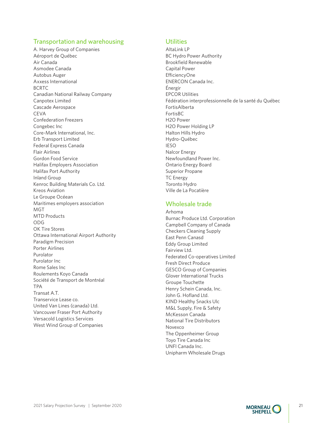#### Transportation and warehousing

A. Harvey Group of Companies Aéroport de Québec Air Canada Asmodee Canada Autobus Auger Axxess International BCRTC Canadian National Railway Company Canpotex Limited Cascade Aerospace **CEVA** Confederation Freezers Congebec Inc Core-Mark International, Inc. Erb Transport Limited Federal Express Canada Flair Airlines Gordon Food Service Halifax Employers Association Halifax Port Authority Inland Group Kenroc Building Materials Co. Ltd. Kreos Aviation Le Groupe Océean Maritimes employers association MGT MTD Products ODG OK Tire Stores Ottawa International Airport Authority Paradigm Precision Porter Airlines Purolator Purolator Inc Rome Sales Inc Roulements Koyo Canada Société de Transport de Montréal TPA Transat A.T. Transervice Lease co. United Van Lines (canada) Ltd. Vancouver Fraser Port Authority Versacold Logistics Services West Wind Group of Companies

#### **Utilities**

AltaLink LP BC Hydro Power Authority Brookfield Renewable Capital Power EfficiencyOne ENERCON Canada Inc. Énergir EPCOR Utilities Fédération interprofessionnelle de la santé du Québec FortisAlberta FortisBC H2O Power H2O Power Holding LP Halton Hills Hydro Hydro-Québec IESO Nalcor Energy Newfoundland Power Inc. Ontario Energy Board Superior Propane TC Energy Toronto Hydro Ville de La Pocatière

### Wholesale trade

Arhoma Burnac Produce Ltd. Corporation Campbell Company of Canada Checkers Cleaning Supply East Penn Canasd Eddy Group Limited Fairview Ltd. Federated Co-operatives Limited Fresh Direct Produce GESCO Group of Companies Glover International Trucks Groupe Touchette Henry Schein Canada, Inc. John G. Hofland Ltd. KIND Healthy Snacks Ulc M&L Supply, Fire & Safety McKesson Canada National Tire Distributors Novexco The Oppenheimer Group Toyo Tire Canada Inc UNFI Canada Inc. Unipharm Wholesale Drugs

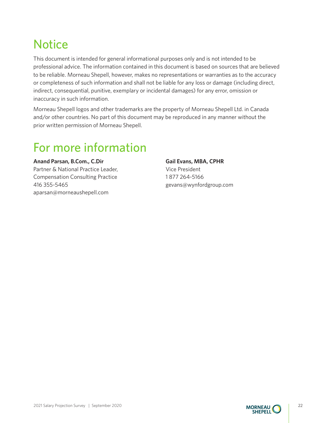# <span id="page-23-0"></span>**Notice**

This document is intended for general informational purposes only and is not intended to be professional advice. The information contained in this document is based on sources that are believed to be reliable. Morneau Shepell, however, makes no representations or warranties as to the accuracy or completeness of such information and shall not be liable for any loss or damage (including direct, indirect, consequential, punitive, exemplary or incidental damages) for any error, omission or inaccuracy in such information.

Morneau Shepell logos and other trademarks are the property of Morneau Shepell Ltd. in Canada and/or other countries. No part of this document may be reproduced in any manner without the prior written permission of Morneau Shepell.

## For more information

**Anand Parsan, B.Com., C.Dir** Partner & National Practice Leader, Compensation Consulting Practice 416 355-5465 [aparsan@morneaushepell.com](mailto:aparsan%40morneaushepell.com?subject=)

**Gail Evans, MBA, CPHR** Vice President 1 877 264-5166 [gevans@wynfordgroup.com](mailto:gevans%40wynfordgroup.com?subject=)